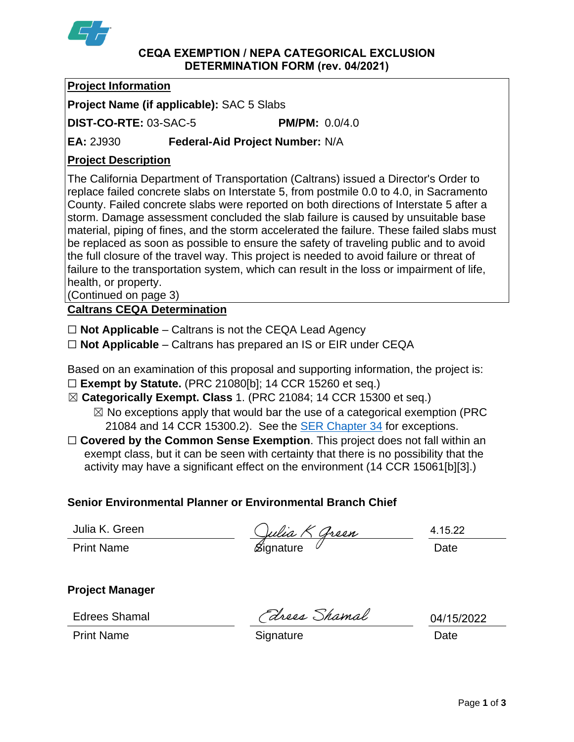

### **CEQA EXEMPTION / NEPA CATEGORICAL EXCLUSION DETERMINATION FORM (rev. 04/2021)**

# **Project Information**

**Project Name (if applicable):** SAC 5 Slabs

**DIST-CO-RTE:** 03-SAC-5 **PM/PM:** 0.0/4.0

**EA:** 2J930 **Federal-Aid Project Number:** N/A

# **Project Description**

The California Department of Transportation (Caltrans) issued a Director's Order to replace failed concrete slabs on Interstate 5, from postmile 0.0 to 4.0, in Sacramento County. Failed concrete slabs were reported on both directions of Interstate 5 after a storm. Damage assessment concluded the slab failure is caused by unsuitable base material, piping of fines, and the storm accelerated the failure. These failed slabs must be replaced as soon as possible to ensure the safety of traveling public and to avoid the full closure of the travel way. This project is needed to avoid failure or threat of failure to the transportation system, which can result in the loss or impairment of life, health, or property.

(Continued on page 3)

**Caltrans CEQA Determination**

☐ **Not Applicable** – Caltrans is not the CEQA Lead Agency

☐ **Not Applicable** – Caltrans has prepared an IS or EIR under CEQA

Based on an examination of this proposal and supporting information, the project is: ☐ **Exempt by Statute.** (PRC 21080[b]; 14 CCR 15260 et seq.)

☒ **Categorically Exempt. Class** 1. (PRC 21084; 14 CCR 15300 et seq.)

 $\boxtimes$  No exceptions apply that would bar the use of a categorical exemption (PRC) 21084 and 14 CCR 15300.2). See the **SER Chapter 34** for exceptions.

□ **Covered by the Common Sense Exemption**. This project does not fall within an exempt class, but it can be seen with certainty that there is no possibility that the activity may have a significant effect on the environment (14 CCR 15061[b][3].)

# **Senior Environmental Planner or Environmental Branch Chief**

Julia K. Green

Julia K. Green (*Julia K Green* 1.15.2)<br>Print Name (Signature 1.15.2)

4.15.22

**Project Manager**

Edrees Shamal

Edress Shamal

04/15/2022

Print Name **Signature Date Date Date**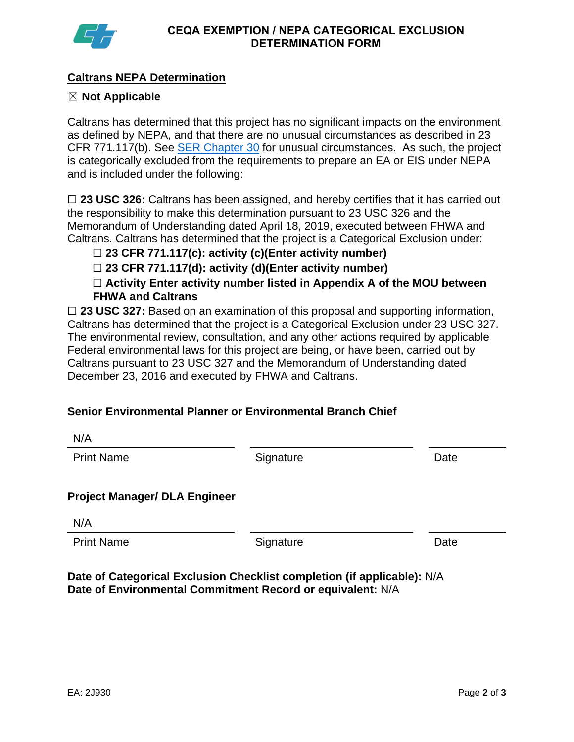

# **Caltrans NEPA Determination**

## ☒ **Not Applicable**

Caltrans has determined that this project has no significant impacts on the environment as defined by NEPA, and that there are no unusual circumstances as described in 23 CFR 771.117(b). See **SER Chapter 30** for unusual circumstances. As such, the project is categorically excluded from the requirements to prepare an EA or EIS under NEPA and is included under the following:

□ 23 USC 326: Caltrans has been assigned, and hereby certifies that it has carried out the responsibility to make this determination pursuant to 23 USC 326 and the Memorandum of Understanding dated April 18, 2019, executed between FHWA and Caltrans. Caltrans has determined that the project is a Categorical Exclusion under:

☐ **23 CFR 771.117(c): activity (c)(Enter activity number)**

☐ **23 CFR 771.117(d): activity (d)(Enter activity number)**

☐ **Activity Enter activity number listed in Appendix A of the MOU between FHWA and Caltrans**

□ 23 USC 327: Based on an examination of this proposal and supporting information, Caltrans has determined that the project is a Categorical Exclusion under 23 USC 327. The environmental review, consultation, and any other actions required by applicable Federal environmental laws for this project are being, or have been, carried out by Caltrans pursuant to 23 USC 327 and the Memorandum of Understanding dated December 23, 2016 and executed by FHWA and Caltrans.

## **Senior Environmental Planner or Environmental Branch Chief**

| IN/M                                 |           |      |
|--------------------------------------|-----------|------|
| <b>Print Name</b>                    | Signature | Date |
| <b>Project Manager/ DLA Engineer</b> |           |      |
| N/A                                  |           |      |
| <b>Print Name</b>                    | Signature | Date |
|                                      |           |      |

**Date of Categorical Exclusion Checklist completion (if applicable):** N/A **Date of Environmental Commitment Record or equivalent:** N/A

N/A